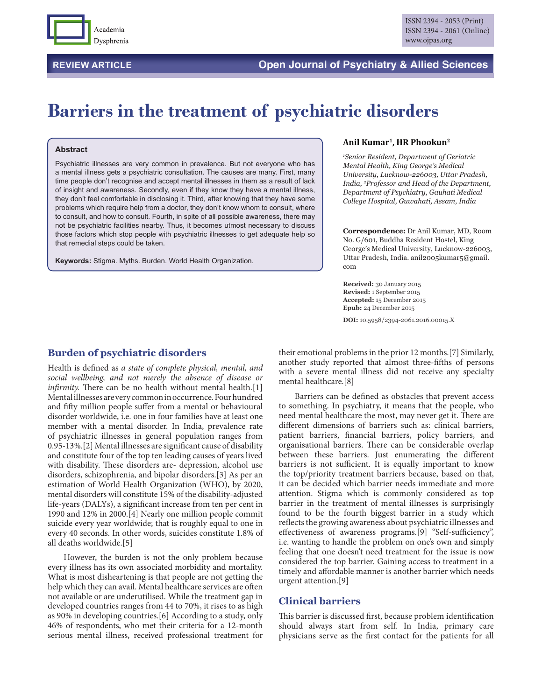

## **REVIEW ARTICLE Open Journal of Psychiatry & Allied Sciences**

# **Barriers in the treatment of psychiatric disorders**

#### **Abstract**

Psychiatric illnesses are very common in prevalence. But not everyone who has a mental illness gets a psychiatric consultation. The causes are many. First, many time people don't recognise and accept mental illnesses in them as a result of lack of insight and awareness. Secondly, even if they know they have a mental illness, they don't feel comfortable in disclosing it. Third, after knowing that they have some problems which require help from a doctor, they don't know whom to consult, where to consult, and how to consult. Fourth, in spite of all possible awareness, there may not be psychiatric facilities nearby. Thus, it becomes utmost necessary to discuss those factors which stop people with psychiatric illnesses to get adequate help so that remedial steps could be taken.

**Keywords:** Stigma. Myths. Burden. World Health Organization.

#### **Anil Kumar1, HR Phookun2**

*1 Senior Resident, Department of Geriatric Mental Health, King George's Medical University, Lucknow-226003, Uttar Pradesh, India, 2 Professor and Head of the Department, Department of Psychiatry, Gauhati Medical College Hospital, Guwahati, Assam, India*

**Correspondence:** Dr Anil Kumar, MD, Room No. G/601, Buddha Resident Hostel, King George's Medical University, Lucknow-226003, Uttar Pradesh, India. anil2005kumar5@gmail. com

**Received:** 30 January 2015 **Revised:** 1 September 2015 **Accepted:** 15 December 2015 **Epub:** 24 December 2015

**DOI:** 10.5958/2394-2061.2016.00015.X

#### **Burden of psychiatric disorders**

Health is defined as *a state of complete physical, mental, and social wellbeing, and not merely the absence of disease or infirmity*. There can be no health without mental health.[1] Mental illnesses are very common in occurrence. Four hundred and fifty million people suffer from a mental or behavioural disorder worldwide, i.e. one in four families have at least one member with a mental disorder. In India, prevalence rate of psychiatric illnesses in general population ranges from 0.95-13%.[2] Mental illnesses are significant cause of disability and constitute four of the top ten leading causes of years lived with disability. These disorders are- depression, alcohol use disorders, schizophrenia, and bipolar disorders.[3] As per an estimation of World Health Organization (WHO), by 2020, mental disorders will constitute 15% of the disability-adjusted life-years (DALYs), a significant increase from ten per cent in 1990 and 12% in 2000.[4] Nearly one million people commit suicide every year worldwide; that is roughly equal to one in every 40 seconds. In other words, suicides constitute 1.8% of all deaths worldwide.[5]

However, the burden is not the only problem because every illness has its own associated morbidity and mortality. What is most disheartening is that people are not getting the help which they can avail. Mental healthcare services are often not available or are underutilised. While the treatment gap in developed countries ranges from 44 to 70%, it rises to as high as 90% in developing countries.[6] According to a study, only 46% of respondents, who met their criteria for a 12-month serious mental illness, received professional treatment for

their emotional problems in the prior 12 months.[7] Similarly, another study reported that almost three-fifths of persons with a severe mental illness did not receive any specialty mental healthcare.[8]

Barriers can be defined as obstacles that prevent access to something. In psychiatry, it means that the people, who need mental healthcare the most, may never get it. There are different dimensions of barriers such as: clinical barriers, patient barriers, financial barriers, policy barriers, and organisational barriers. There can be considerable overlap between these barriers. Just enumerating the different barriers is not sufficient. It is equally important to know the top/priority treatment barriers because, based on that, it can be decided which barrier needs immediate and more attention. Stigma which is commonly considered as top barrier in the treatment of mental illnesses is surprisingly found to be the fourth biggest barrier in a study which reflects the growing awareness about psychiatric illnesses and effectiveness of awareness programs.[9] "Self-sufficiency", i.e. wanting to handle the problem on one's own and simply feeling that one doesn't need treatment for the issue is now considered the top barrier. Gaining access to treatment in a timely and affordable manner is another barrier which needs urgent attention.[9]

#### **Clinical barriers**

This barrier is discussed first, because problem identification should always start from self. In India, primary care physicians serve as the first contact for the patients for all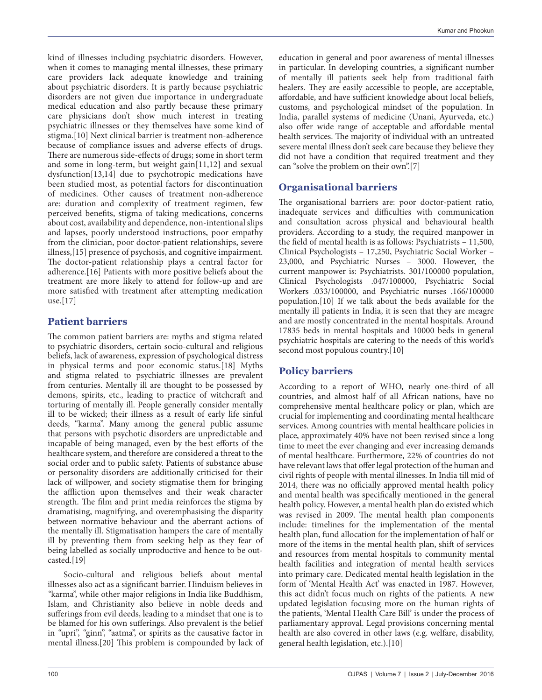kind of illnesses including psychiatric disorders. However, when it comes to managing mental illnesses, these primary care providers lack adequate knowledge and training about psychiatric disorders. It is partly because psychiatric disorders are not given due importance in undergraduate medical education and also partly because these primary care physicians don't show much interest in treating psychiatric illnesses or they themselves have some kind of stigma.[10] Next clinical barrier is treatment non-adherence because of compliance issues and adverse effects of drugs. There are numerous side-effects of drugs; some in short term and some in long-term, but weight gain[11,12] and sexual dysfunction[13,14] due to psychotropic medications have been studied most, as potential factors for discontinuation of medicines. Other causes of treatment non-adherence are: duration and complexity of treatment regimen, few perceived benefits, stigma of taking medications, concerns about cost, availability and dependence, non-intentional slips and lapses, poorly understood instructions, poor empathy from the clinician, poor doctor-patient relationships, severe illness,[15] presence of psychosis, and cognitive impairment. The doctor-patient relationship plays a central factor for adherence.[16] Patients with more positive beliefs about the treatment are more likely to attend for follow-up and are more satisfied with treatment after attempting medication use.[17]

# **Patient barriers**

The common patient barriers are: myths and stigma related to psychiatric disorders, certain socio-cultural and religious beliefs, lack of awareness, expression of psychological distress in physical terms and poor economic status.[18] Myths and stigma related to psychiatric illnesses are prevalent from centuries. Mentally ill are thought to be possessed by demons, spirits, etc., leading to practice of witchcraft and torturing of mentally ill. People generally consider mentally ill to be wicked; their illness as a result of early life sinful deeds, "karma". Many among the general public assume that persons with psychotic disorders are unpredictable and incapable of being managed, even by the best efforts of the healthcare system, and therefore are considered a threat to the social order and to public safety. Patients of substance abuse or personality disorders are additionally criticised for their lack of willpower, and society stigmatise them for bringing the affliction upon themselves and their weak character strength. The film and print media reinforces the stigma by dramatising, magnifying, and overemphasising the disparity between normative behaviour and the aberrant actions of the mentally ill. Stigmatisation hampers the care of mentally ill by preventing them from seeking help as they fear of being labelled as socially unproductive and hence to be outcasted.[19]

Socio-cultural and religious beliefs about mental illnesses also act as a significant barrier. Hinduism believes in *"*karma", while other major religions in India like Buddhism, Islam, and Christianity also believe in noble deeds and sufferings from evil deeds, leading to a mindset that one is to be blamed for his own sufferings. Also prevalent is the belief in *"*upri", *"*ginn", "aatma", or spirits as the causative factor in mental illness.[20] This problem is compounded by lack of education in general and poor awareness of mental illnesses in particular. In developing countries, a significant number of mentally ill patients seek help from traditional faith healers. They are easily accessible to people, are acceptable, affordable, and have sufficient knowledge about local beliefs, customs, and psychological mindset of the population. In India, parallel systems of medicine (Unani, Ayurveda, etc.) also offer wide range of acceptable and affordable mental health services. The majority of individual with an untreated severe mental illness don't seek care because they believe they did not have a condition that required treatment and they can "solve the problem on their own".[7]

# **Organisational barriers**

The organisational barriers are: poor doctor-patient ratio, inadequate services and difficulties with communication and consultation across physical and behavioural health providers. According to a study, the required manpower in the field of mental health is as follows: Psychiatrists – 11,500, Clinical Psychologists – 17,250, Psychiatric Social Worker – 23,000, and Psychiatric Nurses – 3000. However, the current manpower is: Psychiatrists. 301/100000 population, Clinical Psychologists .047/100000, Psychiatric Social Workers .033/100000, and Psychiatric nurses .166/100000 population.[10] If we talk about the beds available for the mentally ill patients in India, it is seen that they are meagre and are mostly concentrated in the mental hospitals. Around 17835 beds in mental hospitals and 10000 beds in general psychiatric hospitals are catering to the needs of this world's second most populous country.[10]

# **Policy barriers**

According to a report of WHO, nearly one-third of all countries, and almost half of all African nations, have no comprehensive mental healthcare policy or plan, which are crucial for implementing and coordinating mental healthcare services. Among countries with mental healthcare policies in place, approximately 40% have not been revised since a long time to meet the ever changing and ever increasing demands of mental healthcare. Furthermore, 22% of countries do not have relevant laws that offer legal protection of the human and civil rights of people with mental illnesses. In India till mid of 2014, there was no officially approved mental health policy and mental health was specifically mentioned in the general health policy. However, a mental health plan do existed which was revised in 2009. The mental health plan components include: timelines for the implementation of the mental health plan, fund allocation for the implementation of half or more of the items in the mental health plan, shift of services and resources from mental hospitals to community mental health facilities and integration of mental health services into primary care. Dedicated mental health legislation in the form of 'Mental Health Act' was enacted in 1987. However, this act didn't focus much on rights of the patients. A new updated legislation focusing more on the human rights of the patients, 'Mental Health Care Bill' is under the process of parliamentary approval. Legal provisions concerning mental health are also covered in other laws (e.g. welfare, disability, general health legislation, etc.).[10]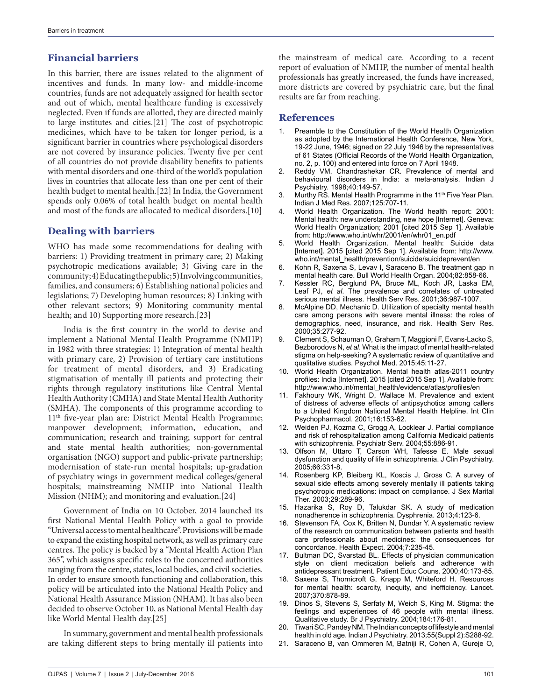## **Financial barriers**

In this barrier, there are issues related to the alignment of incentives and funds. In many low- and middle-income countries, funds are not adequately assigned for health sector and out of which, mental healthcare funding is excessively neglected. Even if funds are allotted, they are directed mainly to large institutes and cities.[21] The cost of psychotropic medicines, which have to be taken for longer period, is a significant barrier in countries where psychological disorders are not covered by insurance policies. Twenty five per cent of all countries do not provide disability benefits to patients with mental disorders and one-third of the world's population lives in countries that allocate less than one per cent of their health budget to mental health.[22] In India, the Government spends only 0.06% of total health budget on mental health and most of the funds are allocated to medical disorders.[10]

## **Dealing with barriers**

WHO has made some recommendations for dealing with barriers: 1) Providing treatment in primary care; 2) Making psychotropic medications available; 3) Giving care in the community; 4) Educating the public; 5) Involving communities, families, and consumers; 6) Establishing national policies and legislations; 7) Developing human resources; 8) Linking with other relevant sectors; 9) Monitoring community mental health; and 10) Supporting more research.[23]

India is the first country in the world to devise and implement a National Mental Health Programme (NMHP) in 1982 with three strategies: 1) Integration of mental health with primary care, 2) Provision of tertiary care institutions for treatment of mental disorders, and 3) Eradicating stigmatisation of mentally ill patients and protecting their rights through regulatory institutions like Central Mental Health Authority (CMHA) and State Mental Health Authority (SMHA). The components of this programme according to 11<sup>th</sup> five-year plan are: District Mental Health Programme; manpower development; information, education, and communication; research and training; support for central and state mental health authorities; non-governmental organisation (NGO) support and public-private partnership; modernisation of state-run mental hospitals; up-gradation of psychiatry wings in government medical colleges/general hospitals; mainstreaming NMHP into National Health Mission (NHM); and monitoring and evaluation.[24]

Government of India on 10 October, 2014 launched its first National Mental Health Policy with a goal to provide "Universal access to mental healthcare". Provisions will be made to expand the existing hospital network, as well as primary care centres. The policy is backed by a "Mental Health Action Plan 365", which assigns specific roles to the concerned authorities ranging from the centre, states, local bodies, and civil societies. In order to ensure smooth functioning and collaboration, this policy will be articulated into the National Health Policy and National Health Assurance Mission (NHAM). It has also been decided to observe October 10, as National Mental Health day like World Mental Health day.[25]

In summary, government and mental health professionals are taking different steps to bring mentally ill patients into the mainstream of medical care. According to a recent report of evaluation of NMHP, the number of mental health professionals has greatly increased, the funds have increased, more districts are covered by psychiatric care, but the final results are far from reaching.

### **References**

- 1. Preamble to the Constitution of the World Health Organization as adopted by the International Health Conference, New York, 19-22 June, 1946; signed on 22 July 1946 by the representatives of 61 States (Official Records of the World Health Organization, no. 2, p. 100) and entered into force on 7 April 1948.
- 2. Reddy VM, Chandrashekar CR. Prevalence of mental and behavioural disorders in India: a meta-analysis. Indian J Psychiatry. 1998;40:149-57.
- 3. Murthy RS. Mental Health Programme in the 11<sup>th</sup> Five Year Plan. Indian J Med Res. 2007;125:707-11.
- 4. World Health Organization. The World health report: 2001: Mental health: new understanding, new hope [Internet]. Geneva: World Health Organization; 2001 [cited 2015 Sep 1]. Available from: http://www.who.int/whr/2001/en/whr01\_en.pdf
- 5. World Health Organization. Mental health: Suicide data [Internet]. 2015 [cited 2015 Sep 1]. Available from: http://www. who.int/mental\_health/prevention/suicide/suicideprevent/en
- 6. Kohn R, Saxena S, Levav I, Saraceno B. The treatment gap in mental health care. Bull World Health Organ. 2004;82:858-66.
- Kessler RC, Berglund PA, Bruce ML, Koch JR, Laska EM, Leaf PJ, *et al*. The prevalence and correlates of untreated serious mental illness. Health Serv Res. 2001;36:987-1007.
- 8. McAlpine DD, Mechanic D. Utilization of specialty mental health care among persons with severe mental illness: the roles of demographics, need, insurance, and risk. Health Serv Res. 2000;35:277-92.
- 9. Clement S, Schauman O, Graham T, Maggioni F, Evans-Lacko S, Bezborodovs N, *et al*. What is the impact of mental health-related stigma on help-seeking? A systematic review of quantitative and qualitative studies. Psychol Med. 2015;45:11-27.
- 10. World Health Organization. Mental health atlas-2011 country profiles: India [Internet]. 2015 [cited 2015 Sep 1]. Available from: http://www.who.int/mental\_health/evidence/atlas/profiles/en
- 11. Fakhoury WK, Wright D, Wallace M. Prevalence and extent of distress of adverse effects of antipsychotics among callers to a United Kingdom National Mental Health Helpline. Int Clin Psychopharmacol. 2001;16:153-62.
- 12. Weiden PJ, Kozma C, Grogg A, Locklear J. Partial compliance and risk of rehospitalization among California Medicaid patients with schizophrenia. Psychiatr Serv. 2004;55:886-91.
- 13. Olfson M, Uttaro T, Carson WH, Tafesse E. Male sexual dysfunction and quality of life in schizophrenia. J Clin Psychiatry. 2005;66:331-8.
- 14. Rosenberg KP, Bleiberg KL, Koscis J, Gross C. A survey of sexual side effects among severely mentally ill patients taking psychotropic medications: impact on compliance. J Sex Marital Ther. 2003;29:289-96.
- 15. Hazarika S, Roy D, Talukdar SK. A study of medication nonadherence in schizophrenia. Dysphrenia. 2013;4:123-6.
- 16. Stevenson FA, Cox K, Britten N, Dundar Y. A systematic review of the research on communication between patients and health care professionals about medicines: the consequences for concordance. Health Expect. 2004;7:235-45.
- 17. Bultman DC, Svarstad BL. Effects of physician communication style on client medication beliefs and adherence with antidepressant treatment. Patient Educ Couns. 2000;40:173-85.
- 18. Saxena S, Thornicroft G, Knapp M, Whiteford H. Resources for mental health: scarcity, inequity, and inefficiency. Lancet. 2007;370:878-89.
- 19. Dinos S, Stevens S, Serfaty M, Weich S, King M. Stigma: the feelings and experiences of 46 people with mental illness. Qualitative study. Br J Psychiatry. 2004;184:176-81.
- 20. Tiwari SC, Pandey NM. The Indian concepts of lifestyle and mental health in old age. Indian J Psychiatry. 2013;55(Suppl 2):S288-92.
- 21. Saraceno B, van Ommeren M, Batniji R, Cohen A, Gureje O,